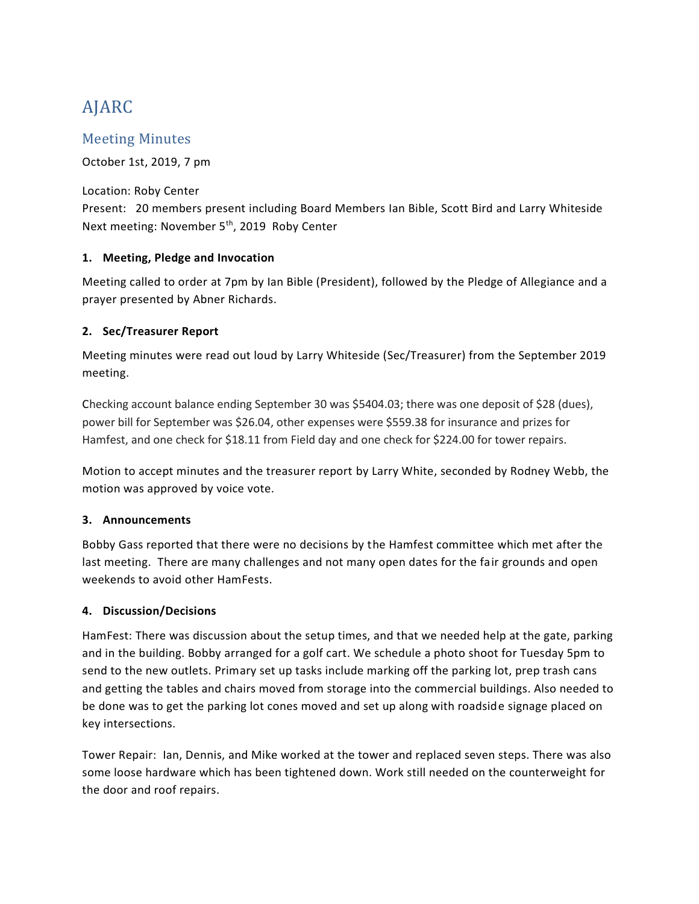# AJARC

# Meeting Minutes

October 1st, 2019, 7 pm

Location: Roby Center Present: 20 members present including Board Members Ian Bible, Scott Bird and Larry Whiteside Next meeting: November 5<sup>th</sup>, 2019 Roby Center

### **1. Meeting, Pledge and Invocation**

Meeting called to order at 7pm by Ian Bible (President), followed by the Pledge of Allegiance and a prayer presented by Abner Richards.

### **2. Sec/Treasurer Report**

Meeting minutes were read out loud by Larry Whiteside (Sec/Treasurer) from the September 2019 meeting.

Checking account balance ending September 30 was \$5404.03; there was one deposit of \$28 (dues), power bill for September was \$26.04, other expenses were \$559.38 for insurance and prizes for Hamfest, and one check for \$18.11 from Field day and one check for \$224.00 for tower repairs.

Motion to accept minutes and the treasurer report by Larry White, seconded by Rodney Webb, the motion was approved by voice vote.

## **3. Announcements**

Bobby Gass reported that there were no decisions by the Hamfest committee which met after the last meeting. There are many challenges and not many open dates for the fair grounds and open weekends to avoid other HamFests.

#### **4. Discussion/Decisions**

HamFest: There was discussion about the setup times, and that we needed help at the gate, parking and in the building. Bobby arranged for a golf cart. We schedule a photo shoot for Tuesday 5pm to send to the new outlets. Primary set up tasks include marking off the parking lot, prep trash cans and getting the tables and chairs moved from storage into the commercial buildings. Also needed to be done was to get the parking lot cones moved and set up along with roadside signage placed on key intersections.

Tower Repair: Ian, Dennis, and Mike worked at the tower and replaced seven steps. There was also some loose hardware which has been tightened down. Work still needed on the counterweight for the door and roof repairs.